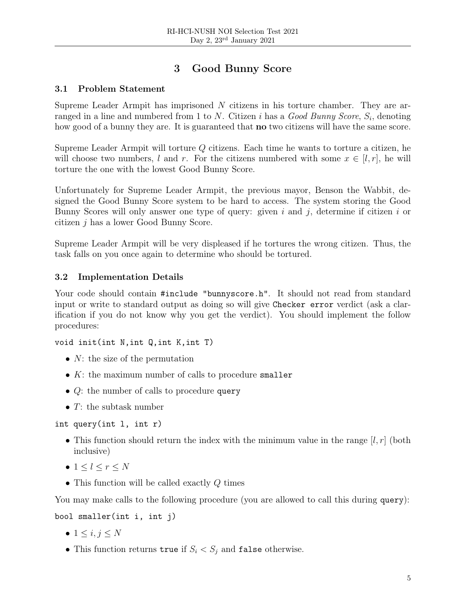# 3 Good Bunny Score

# 3.1 Problem Statement

Supreme Leader Armpit has imprisoned  $N$  citizens in his torture chamber. They are arranged in a line and numbered from 1 to N. Citizen i has a  $Good\; Bunny\;Score,\,S_i,$  denoting how good of a bunny they are. It is guaranteed that **no** two citizens will have the same score.

Supreme Leader Armpit will torture Q citizens. Each time he wants to torture a citizen, he will choose two numbers, l and r. For the citizens numbered with some  $x \in [l, r]$ , he will torture the one with the lowest Good Bunny Score.

Unfortunately for Supreme Leader Armpit, the previous mayor, Benson the Wabbit, designed the Good Bunny Score system to be hard to access. The system storing the Good Bunny Scores will only answer one type of query: given i and j, determine if citizen i or citizen j has a lower Good Bunny Score.

Supreme Leader Armpit will be very displeased if he tortures the wrong citizen. Thus, the task falls on you once again to determine who should be tortured.

# 3.2 Implementation Details

Your code should contain #include "bunnyscore.h". It should not read from standard input or write to standard output as doing so will give Checker error verdict (ask a clarification if you do not know why you get the verdict). You should implement the follow procedures:

```
void init(int N,int Q,int K,int T)
```
- $N$ : the size of the permutation
- $K$ : the maximum number of calls to procedure smaller
- $Q$ : the number of calls to procedure query
- $T:$  the subtask number

int query(int l, int r)

- This function should return the index with the minimum value in the range  $[l, r]$  (both inclusive)
- $\bullet$  1  $\leq l \leq r \leq N$
- This function will be called exactly  $Q$  times

You may make calls to the following procedure (you are allowed to call this during query):

bool smaller(int i, int j)

- $\bullet$  1  $\leq i,j \leq N$
- This function returns true if  $S_i < S_j$  and false otherwise.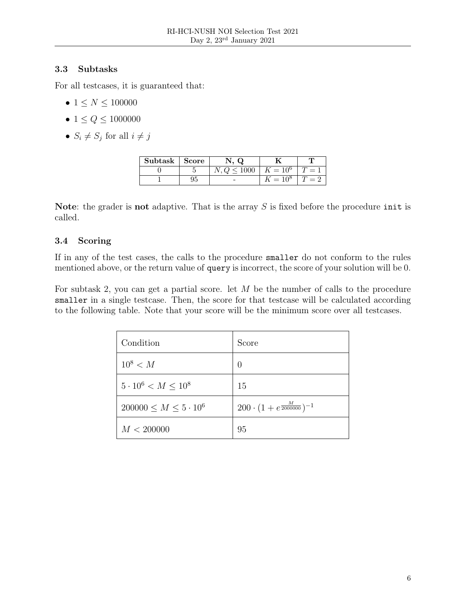### 3.3 Subtasks

For all testcases, it is guaranteed that:

- $1 \le N \le 100000$
- $1 \le Q \le 1000000$
- $S_i \neq S_j$  for all  $i \neq j$

| Subtask | $\bf Score$ | w              |                          |  |
|---------|-------------|----------------|--------------------------|--|
|         |             | $\degree$ 1000 | $\mathcal{L}=10^{\circ}$ |  |
|         | 95          |                |                          |  |

Note: the grader is not adaptive. That is the array  $S$  is fixed before the procedure init is called.

# 3.4 Scoring

If in any of the test cases, the calls to the procedure smaller do not conform to the rules mentioned above, or the return value of query is incorrect, the score of your solution will be 0.

For subtask 2, you can get a partial score. let  $M$  be the number of calls to the procedure smaller in a single testcase. Then, the score for that testcase will be calculated according to the following table. Note that your score will be the minimum score over all testcases.

| Condition                         | Score                                        |
|-----------------------------------|----------------------------------------------|
| $10^8 < M$                        | $\left( \right)$                             |
| $5 \cdot 10^6 < M \leq 10^8$      | 15                                           |
| $200000 \leq M \leq 5 \cdot 10^6$ | $200 \cdot (1 + e^{\frac{M}{2000000}})^{-1}$ |
| M < 200000                        | 95                                           |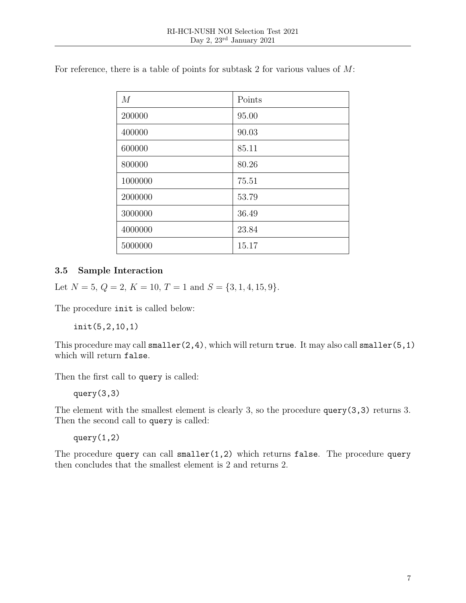| M       | Points |
|---------|--------|
| 200000  | 95.00  |
| 400000  | 90.03  |
| 600000  | 85.11  |
| 800000  | 80.26  |
| 1000000 | 75.51  |
| 2000000 | 53.79  |
| 3000000 | 36.49  |
| 4000000 | 23.84  |
| 5000000 | 15.17  |

For reference, there is a table of points for subtask 2 for various values of  $M$ :

#### 3.5 Sample Interaction

Let  $N = 5$ ,  $Q = 2$ ,  $K = 10$ ,  $T = 1$  and  $S = \{3, 1, 4, 15, 9\}.$ 

The procedure init is called below:

init(5,2,10,1)

This procedure may call  $smaller(2,4)$ , which will return true. It may also call  $smaller(5,1)$ which will return false.

Then the first call to query is called:

query(3,3)

The element with the smallest element is clearly 3, so the procedure query(3,3) returns 3. Then the second call to query is called:

query(1,2)

The procedure query can call  $smaller(1,2)$  which returns false. The procedure query then concludes that the smallest element is 2 and returns 2.